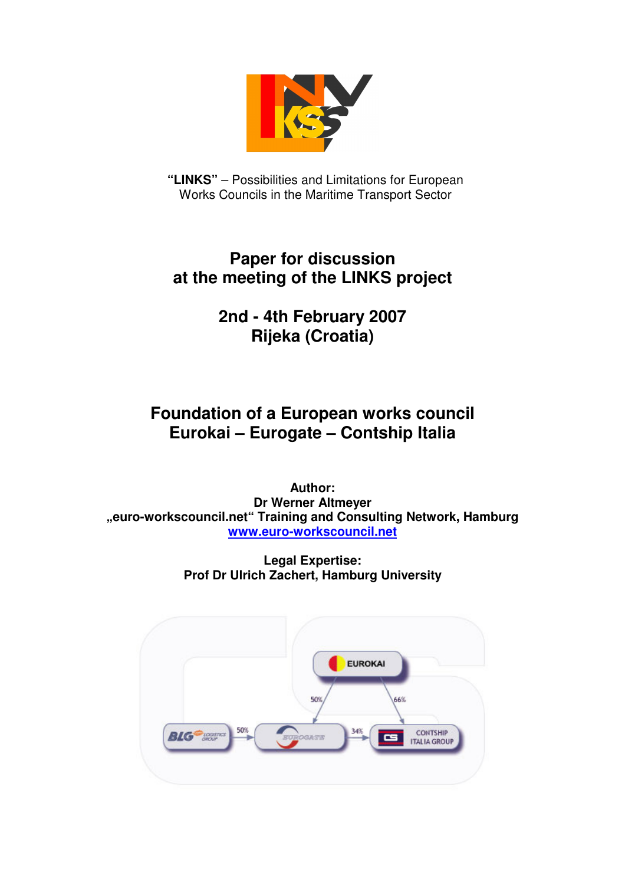

**"LINKS"** – Possibilities and Limitations for European Works Councils in the Maritime Transport Sector

## **Paper for discussion at the meeting of the LINKS project**

# **2nd - 4th February 2007 Rijeka (Croatia)**

## **Foundation of a European works council Eurokai – Eurogate – Contship Italia**

**Author: Dr Werner Altmeyer "euro-workscouncil.net" Training and Consulting Network, Hamburg www.euro-workscouncil.net**

> **Legal Expertise: Prof Dr Ulrich Zachert, Hamburg University**

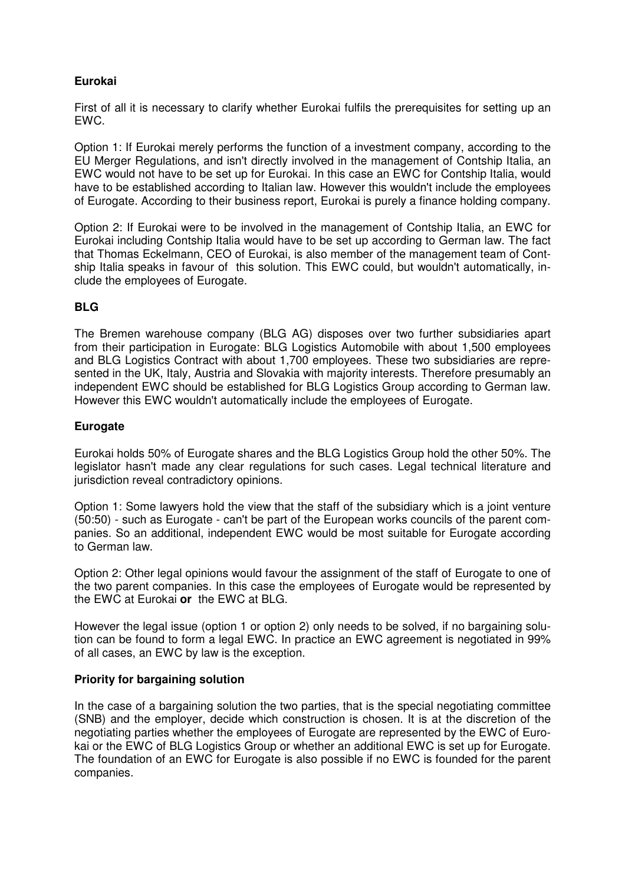## **Eurokai**

First of all it is necessary to clarify whether Eurokai fulfils the prerequisites for setting up an EWC.

Option 1: If Eurokai merely performs the function of a investment company, according to the EU Merger Regulations, and isn't directly involved in the management of Contship Italia, an EWC would not have to be set up for Eurokai. In this case an EWC for Contship Italia, would have to be established according to Italian law. However this wouldn't include the employees of Eurogate. According to their business report, Eurokai is purely a finance holding company.

Option 2: If Eurokai were to be involved in the management of Contship Italia, an EWC for Eurokai including Contship Italia would have to be set up according to German law. The fact that Thomas Eckelmann, CEO of Eurokai, is also member of the management team of Contship Italia speaks in favour of this solution. This EWC could, but wouldn't automatically, include the employees of Eurogate.

### **BLG**

The Bremen warehouse company (BLG AG) disposes over two further subsidiaries apart from their participation in Eurogate: BLG Logistics Automobile with about 1,500 employees and BLG Logistics Contract with about 1,700 employees. These two subsidiaries are represented in the UK, Italy, Austria and Slovakia with majority interests. Therefore presumably an independent EWC should be established for BLG Logistics Group according to German law. However this EWC wouldn't automatically include the employees of Eurogate.

### **Eurogate**

Eurokai holds 50% of Eurogate shares and the BLG Logistics Group hold the other 50%. The legislator hasn't made any clear regulations for such cases. Legal technical literature and jurisdiction reveal contradictory opinions.

Option 1: Some lawyers hold the view that the staff of the subsidiary which is a joint venture (50:50) - such as Eurogate - can't be part of the European works councils of the parent companies. So an additional, independent EWC would be most suitable for Eurogate according to German law.

Option 2: Other legal opinions would favour the assignment of the staff of Eurogate to one of the two parent companies. In this case the employees of Eurogate would be represented by the EWC at Eurokai **or** the EWC at BLG.

However the legal issue (option 1 or option 2) only needs to be solved, if no bargaining solution can be found to form a legal EWC. In practice an EWC agreement is negotiated in 99% of all cases, an EWC by law is the exception.

### **Priority for bargaining solution**

In the case of a bargaining solution the two parties, that is the special negotiating committee (SNB) and the employer, decide which construction is chosen. It is at the discretion of the negotiating parties whether the employees of Eurogate are represented by the EWC of Eurokai or the EWC of BLG Logistics Group or whether an additional EWC is set up for Eurogate. The foundation of an EWC for Eurogate is also possible if no EWC is founded for the parent companies.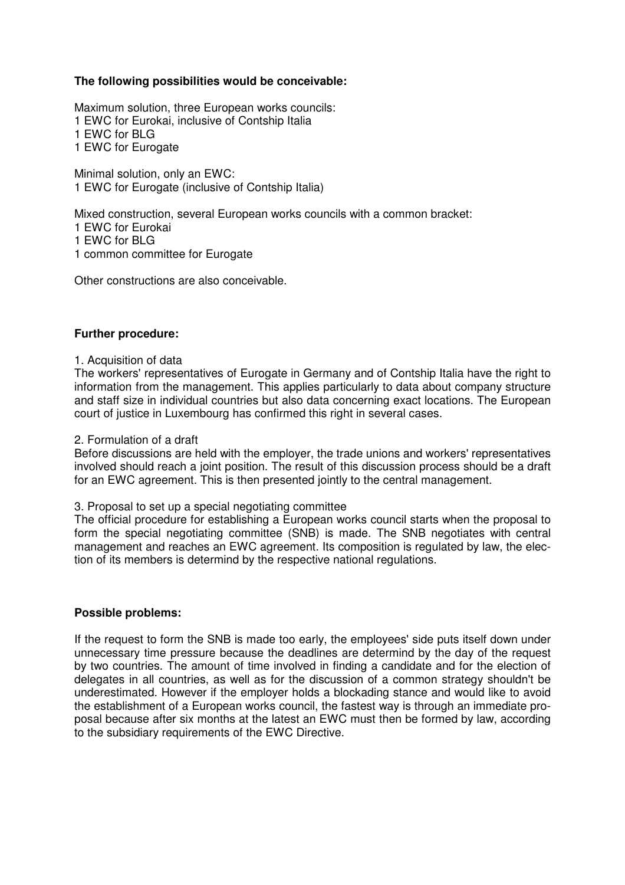### **The following possibilities would be conceivable:**

Maximum solution, three European works councils: 1 EWC for Eurokai, inclusive of Contship Italia 1 EWC for BLG 1 EWC for Eurogate

Minimal solution, only an EWC: 1 EWC for Eurogate (inclusive of Contship Italia)

Mixed construction, several European works councils with a common bracket: 1 EWC for Eurokai

1 EWC for BLG

1 common committee for Eurogate

Other constructions are also conceivable.

#### **Further procedure:**

1. Acquisition of data

The workers' representatives of Eurogate in Germany and of Contship Italia have the right to information from the management. This applies particularly to data about company structure and staff size in individual countries but also data concerning exact locations. The European court of justice in Luxembourg has confirmed this right in several cases.

#### 2. Formulation of a draft

Before discussions are held with the employer, the trade unions and workers' representatives involved should reach a joint position. The result of this discussion process should be a draft for an EWC agreement. This is then presented jointly to the central management.

3. Proposal to set up a special negotiating committee

The official procedure for establishing a European works council starts when the proposal to form the special negotiating committee (SNB) is made. The SNB negotiates with central management and reaches an EWC agreement. Its composition is regulated by law, the election of its members is determind by the respective national regulations.

#### **Possible problems:**

If the request to form the SNB is made too early, the employees' side puts itself down under unnecessary time pressure because the deadlines are determind by the day of the request by two countries. The amount of time involved in finding a candidate and for the election of delegates in all countries, as well as for the discussion of a common strategy shouldn't be underestimated. However if the employer holds a blockading stance and would like to avoid the establishment of a European works council, the fastest way is through an immediate proposal because after six months at the latest an EWC must then be formed by law, according to the subsidiary requirements of the EWC Directive.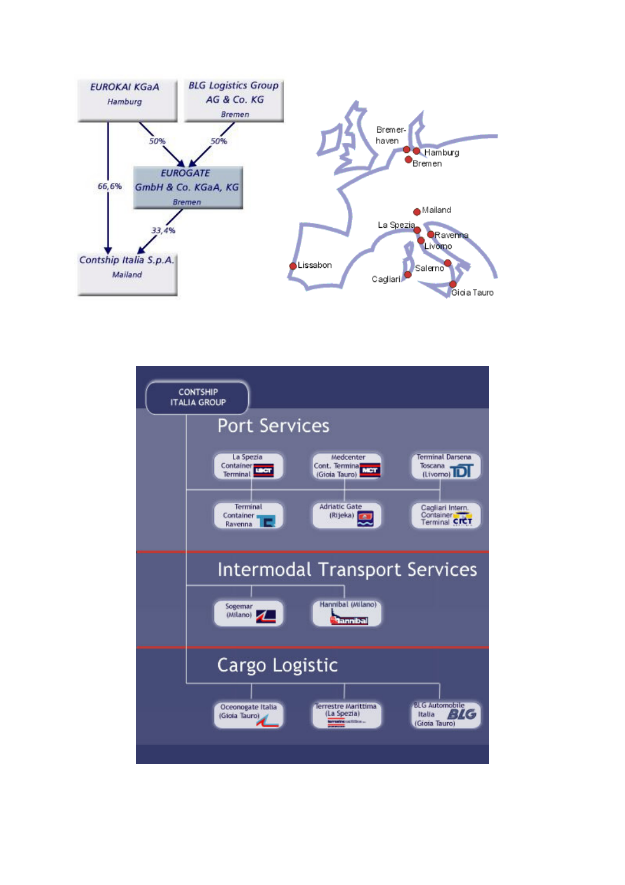